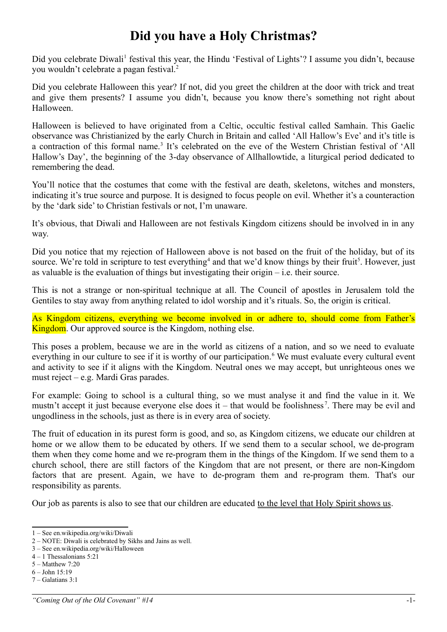## **Did you have a Holy Christmas?**

Did you celebrate Diwali<sup>[1](#page-0-0)</sup> festival this year, the Hindu 'Festival of Lights'? I assume you didn't, because you wouldn't celebrate a pagan festival.[2](#page-0-1)

Did you celebrate Halloween this year? If not, did you greet the children at the door with trick and treat and give them presents? I assume you didn't, because you know there's something not right about Halloween.

Halloween is believed to have originated from a Celtic, occultic festival called Samhain. This Gaelic observance was Christianized by the early Church in Britain and called 'All Hallow's Eve' and it's title is a contraction of this formal name.<sup>[3](#page-0-2)</sup> It's celebrated on the eve of the Western Christian festival of 'All Hallow's Day', the beginning of the 3-day observance of Allhallowtide, a liturgical period dedicated to remembering the dead.

You'll notice that the costumes that come with the festival are death, skeletons, witches and monsters, indicating it's true source and purpose. It is designed to focus people on evil. Whether it's a counteraction by the 'dark side' to Christian festivals or not, I'm unaware.

It's obvious, that Diwali and Halloween are not festivals Kingdom citizens should be involved in in any way.

Did you notice that my rejection of Halloween above is not based on the fruit of the holiday, but of its source. We're told in scripture to test everything<sup>[4](#page-0-3)</sup> and that we'd know things by their fruit<sup>[5](#page-0-4)</sup>. However, just as valuable is the evaluation of things but investigating their origin – i.e. their source.

This is not a strange or non-spiritual technique at all. The Council of apostles in Jerusalem told the Gentiles to stay away from anything related to idol worship and it's rituals. So, the origin is critical.

As Kingdom citizens, everything we become involved in or adhere to, should come from Father's Kingdom. Our approved source is the Kingdom, nothing else.

This poses a problem, because we are in the world as citizens of a nation, and so we need to evaluate everything in our culture to see if it is worthy of our participation.<sup>[6](#page-0-5)</sup> We must evaluate every cultural event and activity to see if it aligns with the Kingdom. Neutral ones we may accept, but unrighteous ones we must reject – e.g. Mardi Gras parades.

For example: Going to school is a cultural thing, so we must analyse it and find the value in it. We mustn't accept it just because everyone else does it – that would be foolishness<sup>[7](#page-0-6)</sup>. There may be evil and ungodliness in the schools, just as there is in every area of society.

The fruit of education in its purest form is good, and so, as Kingdom citizens, we educate our children at home or we allow them to be educated by others. If we send them to a secular school, we de-program them when they come home and we re-program them in the things of the Kingdom. If we send them to a church school, there are still factors of the Kingdom that are not present, or there are non-Kingdom factors that are present. Again, we have to de-program them and re-program them. That's our responsibility as parents.

Our job as parents is also to see that our children are educated to the level that Holy Spirit shows us.

<span id="page-0-0"></span><sup>1 –</sup> See en.wikipedia.org/wiki/Diwali

<span id="page-0-1"></span><sup>2 –</sup> NOTE: Diwali is celebrated by Sikhs and Jains as well.

<span id="page-0-2"></span><sup>3 –</sup> See en.wikipedia.org/wiki/Halloween

<span id="page-0-3"></span><sup>4 – 1</sup> Thessalonians 5:21

<span id="page-0-4"></span><sup>5 –</sup> Matthew 7:20

<span id="page-0-5"></span><sup>6 –</sup> John 15:19 7 – Galatians 3:1

<span id="page-0-6"></span>

*<sup>&</sup>quot;Coming Out of the Old Covenant" #14* -1-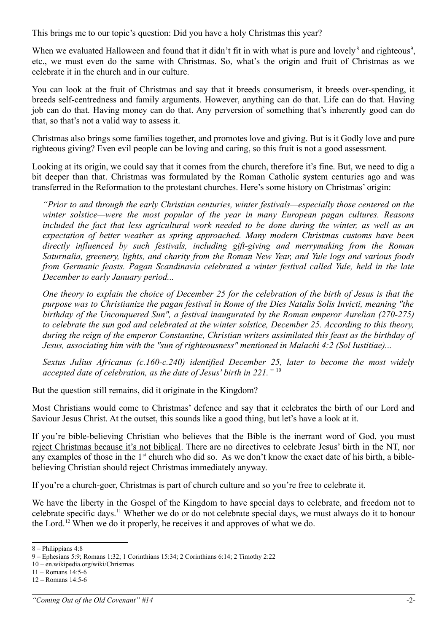This brings me to our topic's question: Did you have a holy Christmas this year?

When we evaluated Halloween and found that it didn't fit in with what is pure and lovely<sup>[8](#page-1-0)</sup> and righteous<sup>[9](#page-1-1)</sup>, etc., we must even do the same with Christmas. So, what's the origin and fruit of Christmas as we celebrate it in the church and in our culture.

You can look at the fruit of Christmas and say that it breeds consumerism, it breeds over-spending, it breeds self-centredness and family arguments. However, anything can do that. Life can do that. Having job can do that. Having money can do that. Any perversion of something that's inherently good can do that, so that's not a valid way to assess it.

Christmas also brings some families together, and promotes love and giving. But is it Godly love and pure righteous giving? Even evil people can be loving and caring, so this fruit is not a good assessment.

Looking at its origin, we could say that it comes from the church, therefore it's fine. But, we need to dig a bit deeper than that. Christmas was formulated by the Roman Catholic system centuries ago and was transferred in the Reformation to the protestant churches. Here's some history on Christmas' origin:

*"Prior to and through the early Christian centuries, winter festivals—especially those centered on the winter solstice—were the most popular of the year in many European pagan cultures. Reasons included the fact that less agricultural work needed to be done during the winter, as well as an expectation of better weather as spring approached. Many modern Christmas customs have been directly influenced by such festivals, including gift-giving and merrymaking from the Roman Saturnalia, greenery, lights, and charity from the Roman New Year, and Yule logs and various foods from Germanic feasts. Pagan Scandinavia celebrated a winter festival called Yule, held in the late December to early January period...*

*One theory to explain the choice of December 25 for the celebration of the birth of Jesus is that the purpose was to Christianize the pagan festival in Rome of the Dies Natalis Solis Invicti, meaning "the birthday of the Unconquered Sun", a festival inaugurated by the Roman emperor Aurelian (270-275) to celebrate the sun god and celebrated at the winter solstice, December 25. According to this theory, during the reign of the emperor Constantine, Christian writers assimilated this feast as the birthday of Jesus, associating him with the "sun of righteousness" mentioned in Malachi 4:2 (Sol Iustitiae)...*

*Sextus Julius Africanus (c.160-c.240) identified December 25, later to become the most widely accepted date of celebration, as the date of Jesus' birth in 221."* [10](#page-1-2)

But the question still remains, did it originate in the Kingdom?

Most Christians would come to Christmas' defence and say that it celebrates the birth of our Lord and Saviour Jesus Christ. At the outset, this sounds like a good thing, but let's have a look at it.

If you're bible-believing Christian who believes that the Bible is the inerrant word of God, you must reject Christmas because it's not biblical. There are no directives to celebrate Jesus' birth in the NT, nor any examples of those in the  $1<sup>st</sup>$  church who did so. As we don't know the exact date of his birth, a biblebelieving Christian should reject Christmas immediately anyway.

If you're a church-goer, Christmas is part of church culture and so you're free to celebrate it.

We have the liberty in the Gospel of the Kingdom to have special days to celebrate, and freedom not to celebrate specific days.[11](#page-1-3) Whether we do or do not celebrate special days, we must always do it to honour the Lord.[12](#page-1-4) When we do it properly, he receives it and approves of what we do.

<span id="page-1-0"></span><sup>8 –</sup> Philippians 4:8

<span id="page-1-1"></span><sup>9 –</sup> Ephesians 5:9; Romans 1:32; 1 Corinthians 15:34; 2 Corinthians 6:14; 2 Timothy 2:22

<span id="page-1-2"></span><sup>10 –</sup> en.wikipedia.org/wiki/Christmas

<span id="page-1-3"></span><sup>11 –</sup> Romans 14:5-6

<span id="page-1-4"></span><sup>12 –</sup> Romans 14:5-6